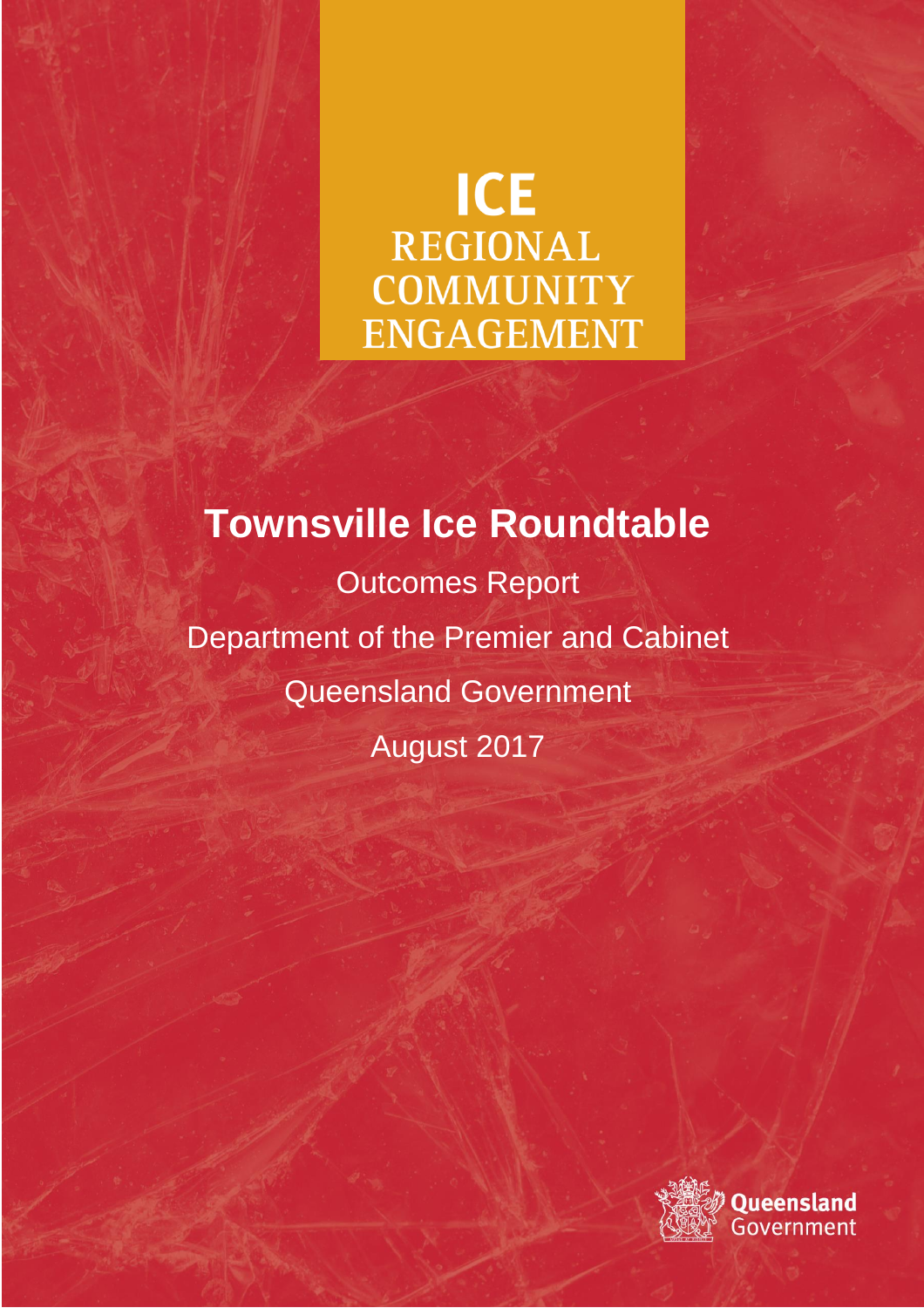# **ICE REGIONAL COMMUNITY ENGAGEMENT**

**Townsville Ice Roundtable** Outcomes Report Department of the Premier and Cabinet Queensland Government August 2017

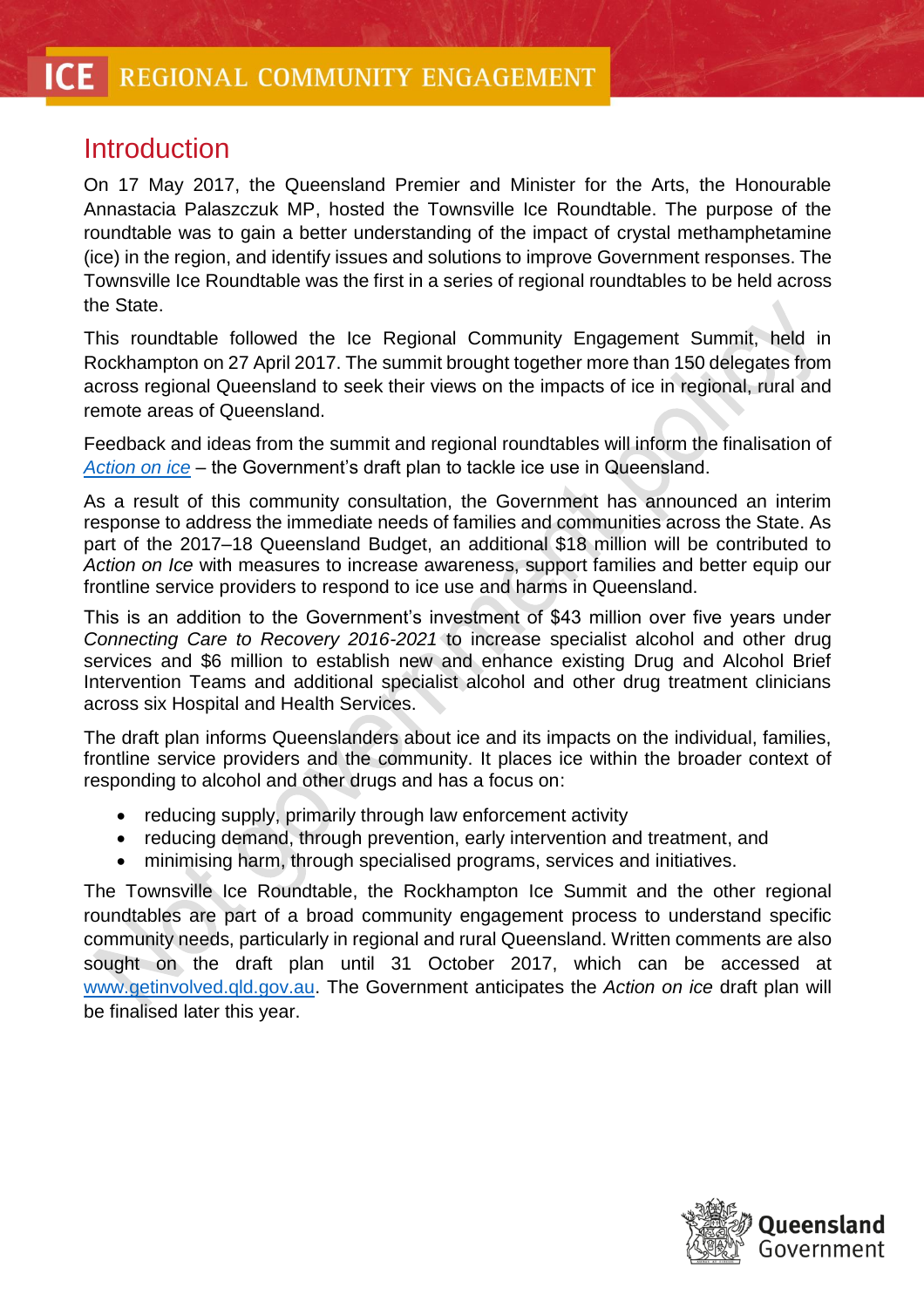## Introduction

On 17 May 2017, the Queensland Premier and Minister for the Arts, the Honourable Annastacia Palaszczuk MP, hosted the Townsville Ice Roundtable. The purpose of the roundtable was to gain a better understanding of the impact of crystal methamphetamine (ice) in the region, and identify issues and solutions to improve Government responses. The Townsville Ice Roundtable was the first in a series of regional roundtables to be held across the State.

This roundtable followed the Ice Regional Community Engagement Summit, held in Rockhampton on 27 April 2017. The summit brought together more than 150 delegates from across regional Queensland to seek their views on the impacts of ice in regional, rural and remote areas of Queensland.

Feedback and ideas from the summit and regional roundtables will inform the finalisation of *[Action on ice](https://www.premiers.qld.gov.au/assets/action-on-ice.pdf)* – the Government's draft plan to tackle ice use in Queensland.

As a result of this community consultation, the Government has announced an interim response to address the immediate needs of families and communities across the State. As part of the 2017–18 Queensland Budget, an additional \$18 million will be contributed to *Action on Ice* with measures to increase awareness, support families and better equip our frontline service providers to respond to ice use and harms in Queensland.

This is an addition to the Government's investment of \$43 million over five years under *Connecting Care to Recovery 2016-2021* to increase specialist alcohol and other drug services and \$6 million to establish new and enhance existing Drug and Alcohol Brief Intervention Teams and additional specialist alcohol and other drug treatment clinicians across six Hospital and Health Services.

The draft plan informs Queenslanders about ice and its impacts on the individual, families, frontline service providers and the community. It places ice within the broader context of responding to alcohol and other drugs and has a focus on:

- reducing supply, primarily through law enforcement activity
- reducing demand, through prevention, early intervention and treatment, and
- minimising harm, through specialised programs, services and initiatives.

The Townsville Ice Roundtable, the Rockhampton Ice Summit and the other regional roundtables are part of a broad community engagement process to understand specific community needs, particularly in regional and rural Queensland. Written comments are also sought on the draft plan until 31 October 2017, which can be accessed at [www.getinvolved.qld.gov.au.](http://www.getinvolved.qld.gov.au/) The Government anticipates the *Action on ice* draft plan will be finalised later this year.

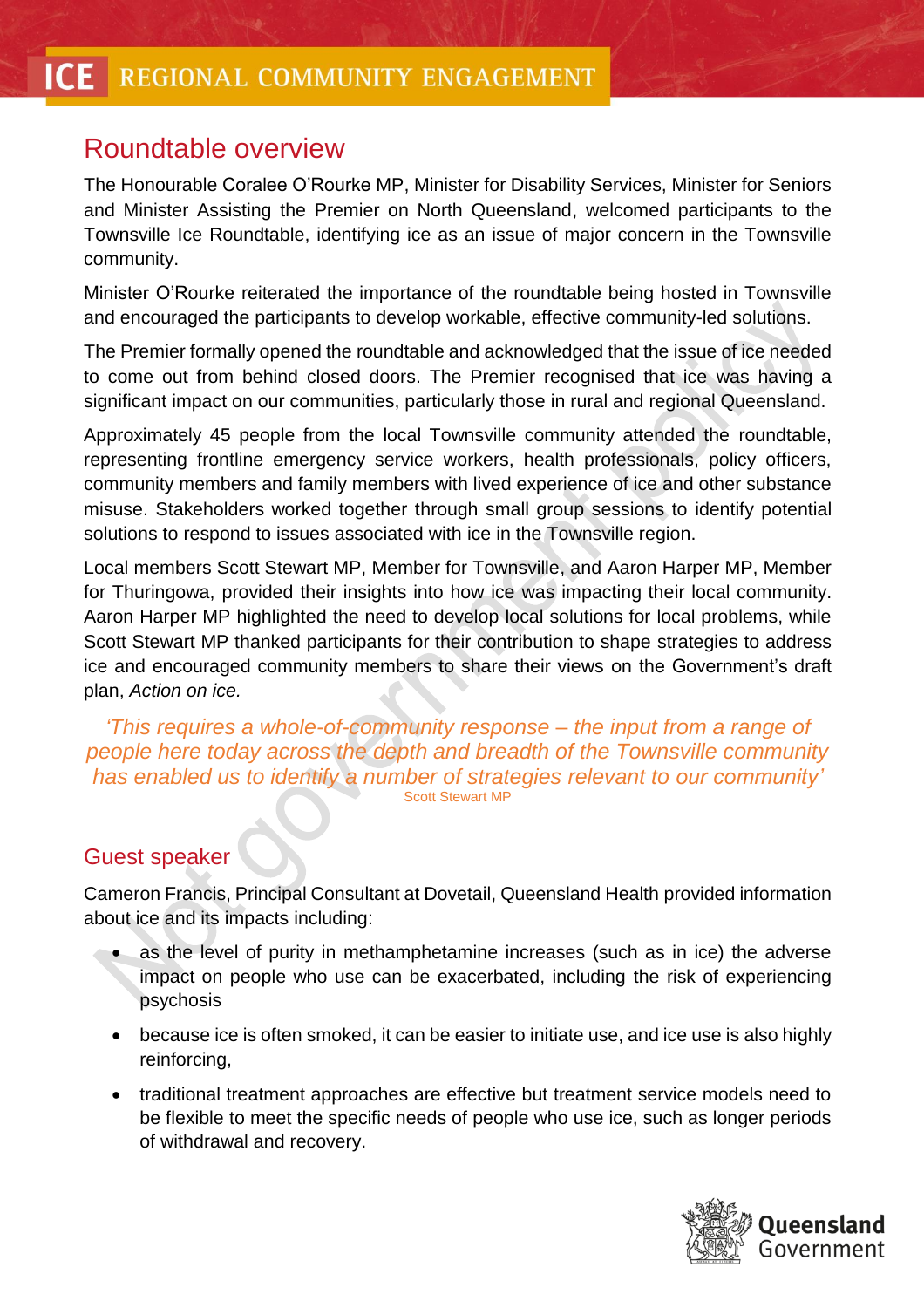## Roundtable overview

The Honourable Coralee O'Rourke MP, Minister for Disability Services, Minister for Seniors and Minister Assisting the Premier on North Queensland, welcomed participants to the Townsville Ice Roundtable, identifying ice as an issue of major concern in the Townsville community.

Minister O'Rourke reiterated the importance of the roundtable being hosted in Townsville and encouraged the participants to develop workable, effective community-led solutions.

The Premier formally opened the roundtable and acknowledged that the issue of ice needed to come out from behind closed doors. The Premier recognised that ice was having a significant impact on our communities, particularly those in rural and regional Queensland.

Approximately 45 people from the local Townsville community attended the roundtable, representing frontline emergency service workers, health professionals, policy officers, community members and family members with lived experience of ice and other substance misuse. Stakeholders worked together through small group sessions to identify potential solutions to respond to issues associated with ice in the Townsville region.

Local members Scott Stewart MP, Member for Townsville, and Aaron Harper MP, Member for Thuringowa, provided their insights into how ice was impacting their local community. Aaron Harper MP highlighted the need to develop local solutions for local problems, while Scott Stewart MP thanked participants for their contribution to shape strategies to address ice and encouraged community members to share their views on the Government's draft plan, *Action on ice.*

*'This requires a whole-of-community response – the input from a range of people here today across the depth and breadth of the Townsville community has enabled us to identify a number of strategies relevant to our community'* Scott Stewart MP

#### Guest speaker

Cameron Francis, Principal Consultant at Dovetail, Queensland Health provided information about ice and its impacts including:

- as the level of purity in methamphetamine increases (such as in ice) the adverse impact on people who use can be exacerbated, including the risk of experiencing psychosis
- because ice is often smoked, it can be easier to initiate use, and ice use is also highly reinforcing,
- traditional treatment approaches are effective but treatment service models need to be flexible to meet the specific needs of people who use ice, such as longer periods of withdrawal and recovery.

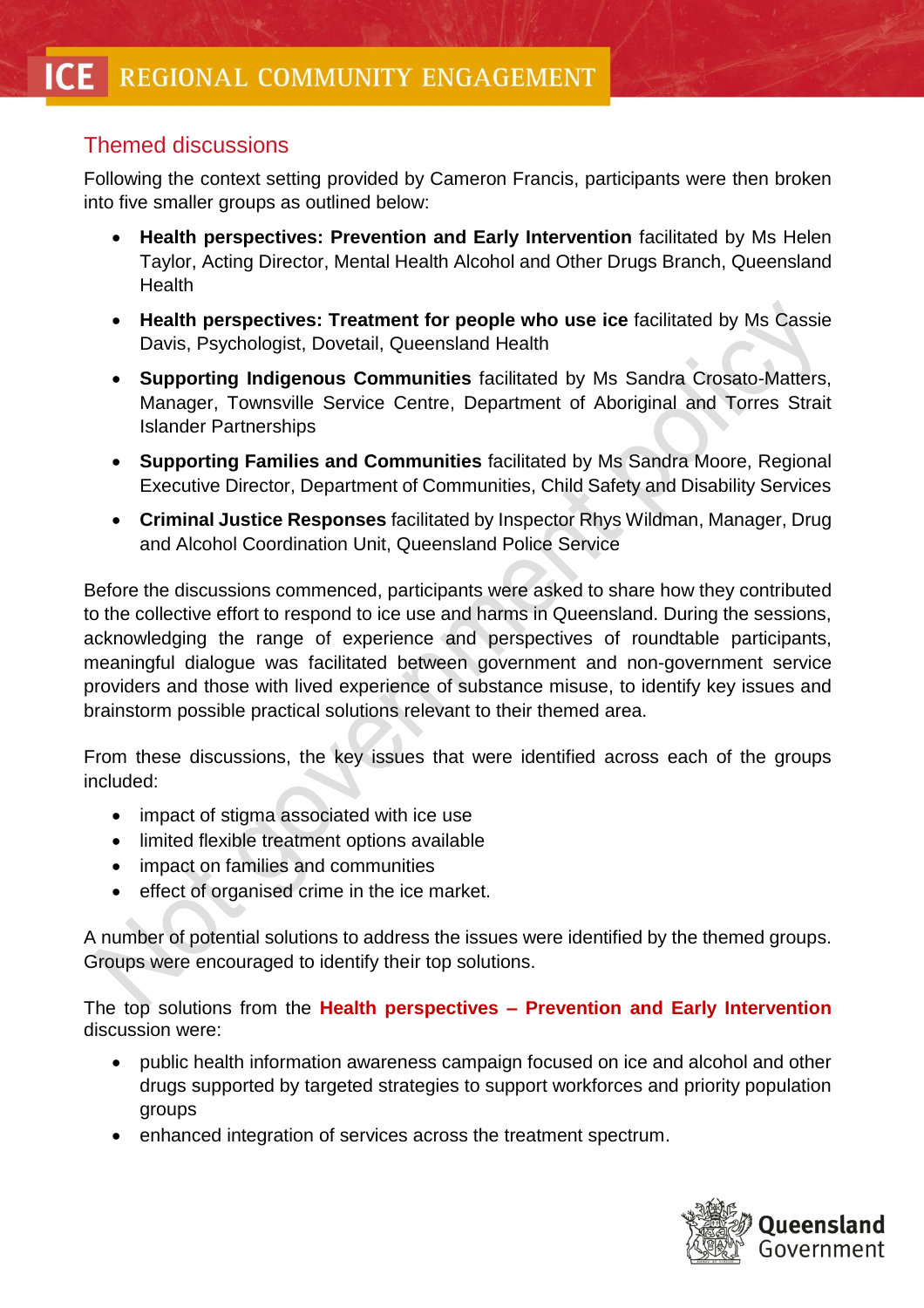#### Themed discussions

Following the context setting provided by Cameron Francis, participants were then broken into five smaller groups as outlined below:

- **Health perspectives: Prevention and Early Intervention** facilitated by Ms Helen Taylor, Acting Director, Mental Health Alcohol and Other Drugs Branch, Queensland **Health**
- **Health perspectives: Treatment for people who use ice** facilitated by Ms Cassie Davis, Psychologist, Dovetail, Queensland Health
- **Supporting Indigenous Communities** facilitated by Ms Sandra Crosato-Matters, Manager, Townsville Service Centre, Department of Aboriginal and Torres Strait Islander Partnerships
- **Supporting Families and Communities** facilitated by Ms Sandra Moore, Regional Executive Director, Department of Communities, Child Safety and Disability Services
- **Criminal Justice Responses** facilitated by Inspector Rhys Wildman, Manager, Drug and Alcohol Coordination Unit, Queensland Police Service

Before the discussions commenced, participants were asked to share how they contributed to the collective effort to respond to ice use and harms in Queensland. During the sessions, acknowledging the range of experience and perspectives of roundtable participants, meaningful dialogue was facilitated between government and non-government service providers and those with lived experience of substance misuse, to identify key issues and brainstorm possible practical solutions relevant to their themed area.

From these discussions, the key issues that were identified across each of the groups included:

- impact of stigma associated with ice use
- limited flexible treatment options available
- impact on families and communities
- effect of organised crime in the ice market.

A number of potential solutions to address the issues were identified by the themed groups. Groups were encouraged to identify their top solutions.

The top solutions from the **Health perspectives – Prevention and Early Intervention** discussion were:

- public health information awareness campaign focused on ice and alcohol and other drugs supported by targeted strategies to support workforces and priority population groups
- enhanced integration of services across the treatment spectrum.

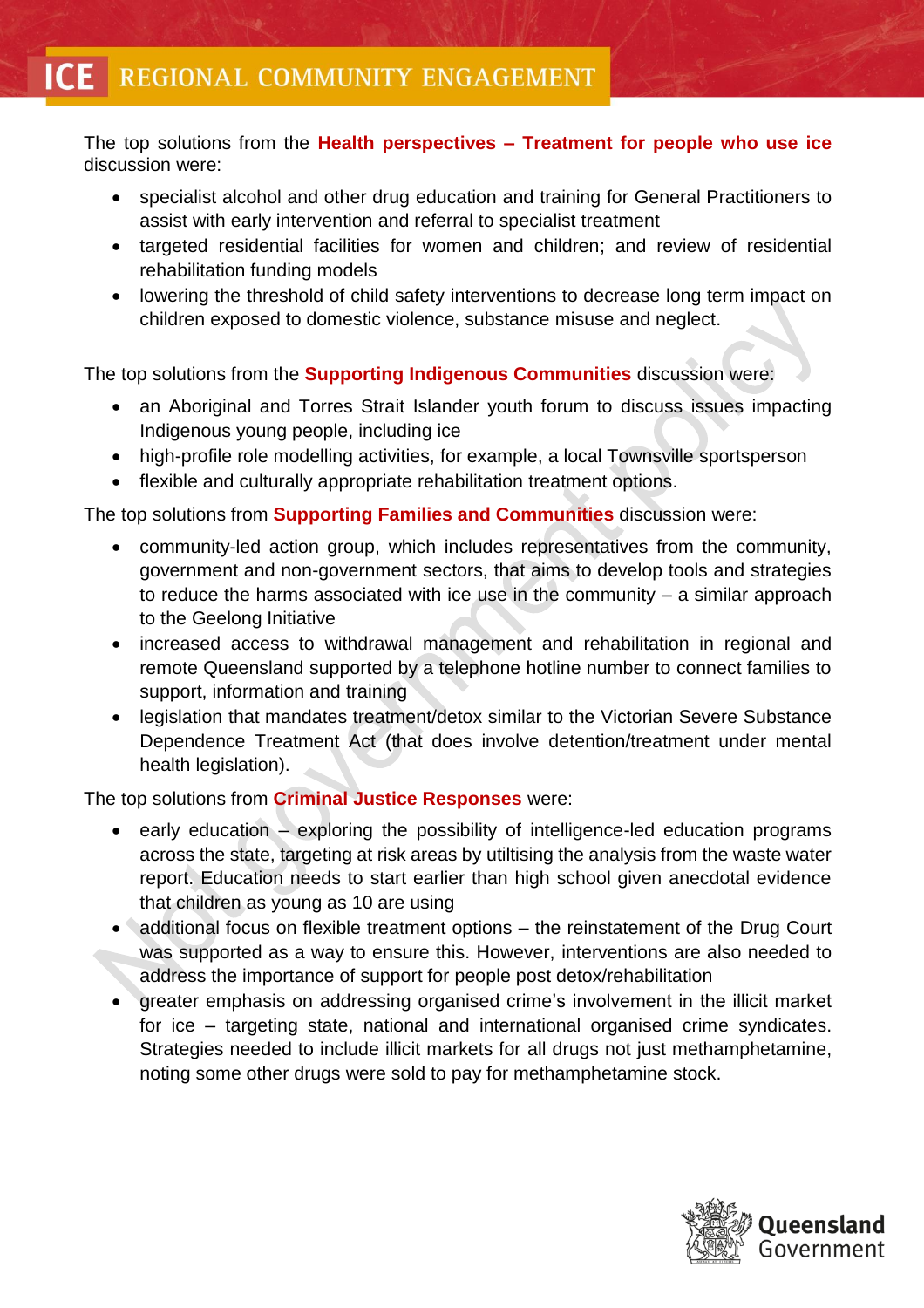The top solutions from the **Health perspectives – Treatment for people who use ice** discussion were:

- specialist alcohol and other drug education and training for General Practitioners to assist with early intervention and referral to specialist treatment
- targeted residential facilities for women and children; and review of residential rehabilitation funding models
- lowering the threshold of child safety interventions to decrease long term impact on children exposed to domestic violence, substance misuse and neglect.

The top solutions from the **Supporting Indigenous Communities** discussion were:

- an Aboriginal and Torres Strait Islander youth forum to discuss issues impacting Indigenous young people, including ice
- high-profile role modelling activities, for example, a local Townsville sportsperson
- flexible and culturally appropriate rehabilitation treatment options.

The top solutions from **Supporting Families and Communities** discussion were:

- community-led action group, which includes representatives from the community, government and non-government sectors, that aims to develop tools and strategies to reduce the harms associated with ice use in the community – a similar approach to the Geelong Initiative
- increased access to withdrawal management and rehabilitation in regional and remote Queensland supported by a telephone hotline number to connect families to support, information and training
- legislation that mandates treatment/detox similar to the Victorian Severe Substance Dependence Treatment Act (that does involve detention/treatment under mental health legislation).

The top solutions from **Criminal Justice Responses** were:

- early education exploring the possibility of intelligence-led education programs across the state, targeting at risk areas by utiltising the analysis from the waste water report. Education needs to start earlier than high school given anecdotal evidence that children as young as 10 are using
- additional focus on flexible treatment options the reinstatement of the Drug Court was supported as a way to ensure this. However, interventions are also needed to address the importance of support for people post detox/rehabilitation
- greater emphasis on addressing organised crime's involvement in the illicit market for ice – targeting state, national and international organised crime syndicates. Strategies needed to include illicit markets for all drugs not just methamphetamine, noting some other drugs were sold to pay for methamphetamine stock.

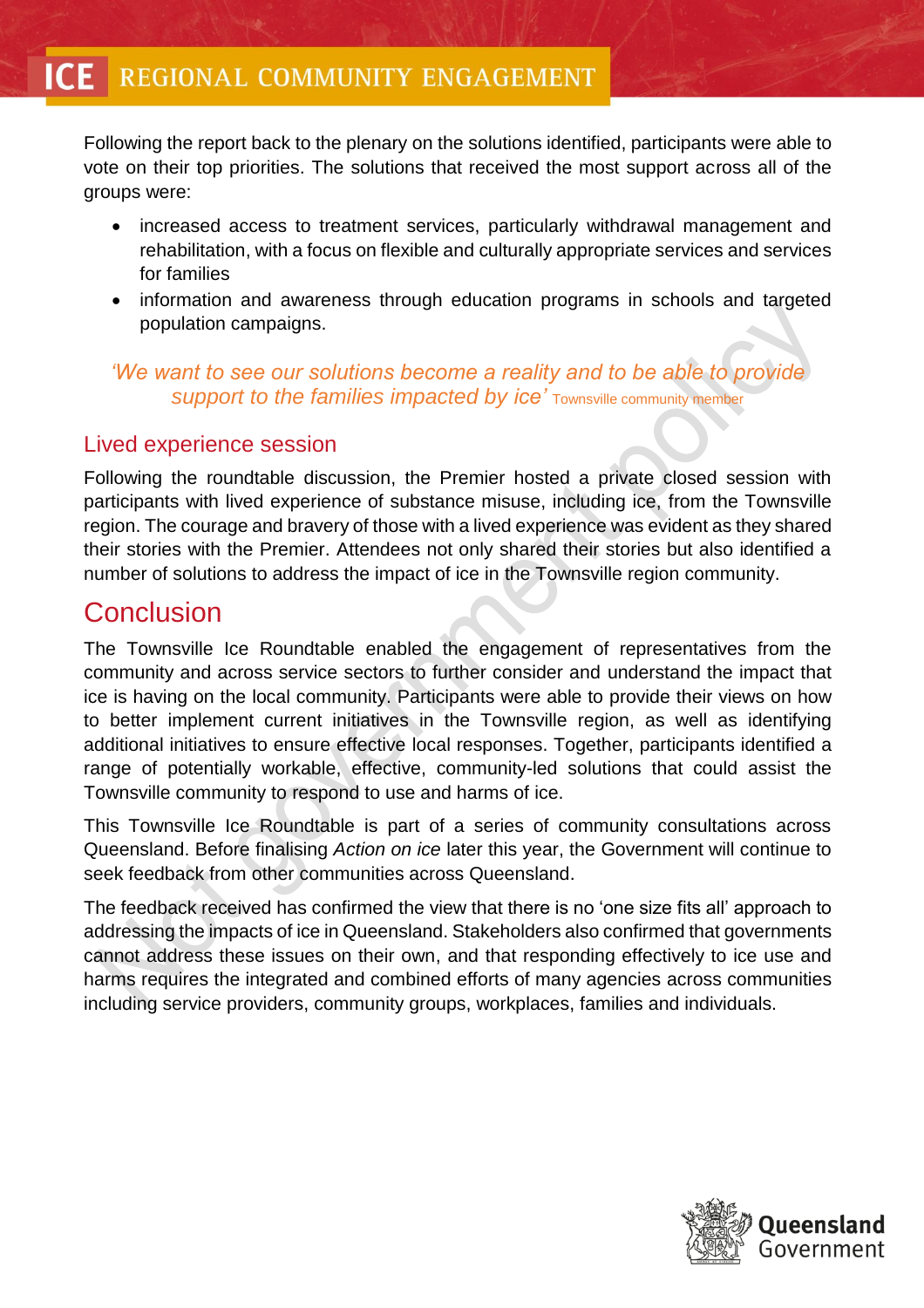Following the report back to the plenary on the solutions identified, participants were able to vote on their top priorities. The solutions that received the most support across all of the groups were:

- increased access to treatment services, particularly withdrawal management and rehabilitation, with a focus on flexible and culturally appropriate services and services for families
- information and awareness through education programs in schools and targeted population campaigns.

#### *'We want to see our solutions become a reality and to be able to provide support to the families impacted by ice'* Townsville community member

#### Lived experience session

Following the roundtable discussion, the Premier hosted a private closed session with participants with lived experience of substance misuse, including ice, from the Townsville region. The courage and bravery of those with a lived experience was evident as they shared their stories with the Premier. Attendees not only shared their stories but also identified a number of solutions to address the impact of ice in the Townsville region community.

### Conclusion

The Townsville Ice Roundtable enabled the engagement of representatives from the community and across service sectors to further consider and understand the impact that ice is having on the local community. Participants were able to provide their views on how to better implement current initiatives in the Townsville region, as well as identifying additional initiatives to ensure effective local responses. Together, participants identified a range of potentially workable, effective, community-led solutions that could assist the Townsville community to respond to use and harms of ice.

This Townsville Ice Roundtable is part of a series of community consultations across Queensland. Before finalising *Action on ice* later this year, the Government will continue to seek feedback from other communities across Queensland.

The feedback received has confirmed the view that there is no 'one size fits all' approach to addressing the impacts of ice in Queensland. Stakeholders also confirmed that governments cannot address these issues on their own, and that responding effectively to ice use and harms requires the integrated and combined efforts of many agencies across communities including service providers, community groups, workplaces, families and individuals.